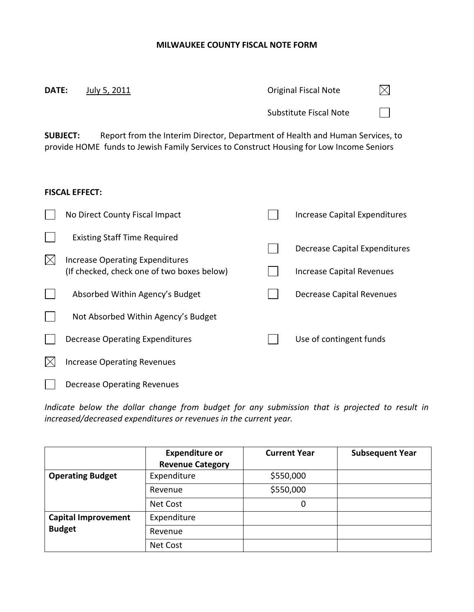## **MILWAUKEE COUNTY FISCAL NOTE FORM**

| DATE:       | July 5, 2011                                                                                                                                                                                 | <b>Original Fiscal Note</b>                                |
|-------------|----------------------------------------------------------------------------------------------------------------------------------------------------------------------------------------------|------------------------------------------------------------|
|             |                                                                                                                                                                                              | <b>Substitute Fiscal Note</b>                              |
|             | Report from the Interim Director, Department of Health and Human Services, to<br><b>SUBJECT:</b><br>provide HOME funds to Jewish Family Services to Construct Housing for Low Income Seniors |                                                            |
|             | <b>FISCAL EFFECT:</b>                                                                                                                                                                        |                                                            |
|             | No Direct County Fiscal Impact                                                                                                                                                               | Increase Capital Expenditures                              |
| $\boxtimes$ | <b>Existing Staff Time Required</b><br>Increase Operating Expenditures<br>(If checked, check one of two boxes below)                                                                         | Decrease Capital Expenditures<br>Increase Capital Revenues |
|             | Absorbed Within Agency's Budget                                                                                                                                                              | Decrease Capital Revenues                                  |
|             | Not Absorbed Within Agency's Budget                                                                                                                                                          |                                                            |
|             | <b>Decrease Operating Expenditures</b>                                                                                                                                                       | Use of contingent funds                                    |
| $\boxtimes$ | <b>Increase Operating Revenues</b>                                                                                                                                                           |                                                            |
|             | Decrease Operating Revenues                                                                                                                                                                  |                                                            |

*Indicate below the dollar change from budget for any submission that is projected to result in increased/decreased expenditures or revenues in the current year.*

|                            | <b>Expenditure or</b>   | <b>Current Year</b> | <b>Subsequent Year</b> |
|----------------------------|-------------------------|---------------------|------------------------|
|                            | <b>Revenue Category</b> |                     |                        |
| <b>Operating Budget</b>    | Expenditure             | \$550,000           |                        |
|                            | Revenue                 | \$550,000           |                        |
|                            | Net Cost                | 0                   |                        |
| <b>Capital Improvement</b> | Expenditure             |                     |                        |
| <b>Budget</b>              | Revenue                 |                     |                        |
|                            | Net Cost                |                     |                        |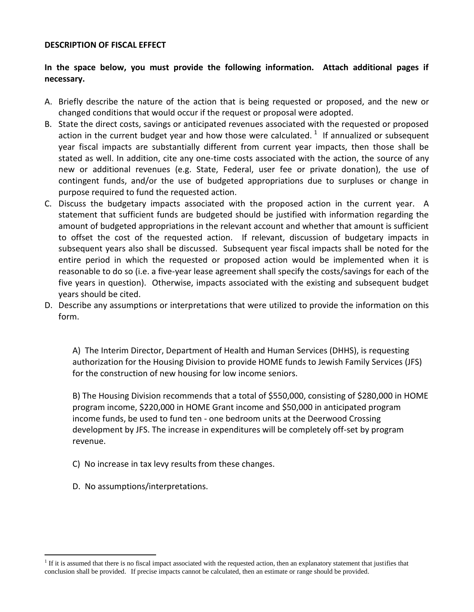## **DESCRIPTION OF FISCAL EFFECT**

## **In the space below, you must provide the following information. Attach additional pages if necessary.**

- A. Briefly describe the nature of the action that is being requested or proposed, and the new or changed conditions that would occur if the request or proposal were adopted.
- B. State the direct costs, savings or anticipated revenues associated with the requested or proposed action in the current budget year and how those were calculated.  $^{1}$  If annualized or subsequent year fiscal impacts are substantially different from current year impacts, then those shall be stated as well. In addition, cite any one-time costs associated with the action, the source of any new or additional revenues (e.g. State, Federal, user fee or private donation), the use of contingent funds, and/or the use of budgeted appropriations due to surpluses or change in purpose required to fund the requested action.
- C. Discuss the budgetary impacts associated with the proposed action in the current year. A statement that sufficient funds are budgeted should be justified with information regarding the amount of budgeted appropriations in the relevant account and whether that amount is sufficient to offset the cost of the requested action.If relevant, discussion of budgetary impacts in subsequent years also shall be discussed. Subsequent year fiscal impacts shall be noted for the entire period in which the requested or proposed action would be implemented when it is reasonable to do so (i.e. a five-year lease agreement shall specify the costs/savings for each of the five years in question). Otherwise, impacts associated with the existing and subsequent budget years should be cited.
- D. Describe any assumptions or interpretations that were utilized to provide the information on this form.

A) The Interim Director, Department of Health and Human Services (DHHS), is requesting authorization for the Housing Division to provide HOME funds to Jewish Family Services (JFS) for the construction of new housing for low income seniors.

B) The Housing Division recommends that a total of \$550,000, consisting of \$280,000 in HOME program income, \$220,000 in HOME Grant income and \$50,000 in anticipated program income funds, be used to fund ten - one bedroom units at the Deerwood Crossing development by JFS. The increase in expenditures will be completely off-set by program revenue.

- C) No increase in tax levy results from these changes.
- D. No assumptions/interpretations.

 $\overline{a}$ 

<sup>&</sup>lt;sup>1</sup> If it is assumed that there is no fiscal impact associated with the requested action, then an explanatory statement that justifies that conclusion shall be provided.If precise impacts cannot be calculated, then an estimate or range should be provided.